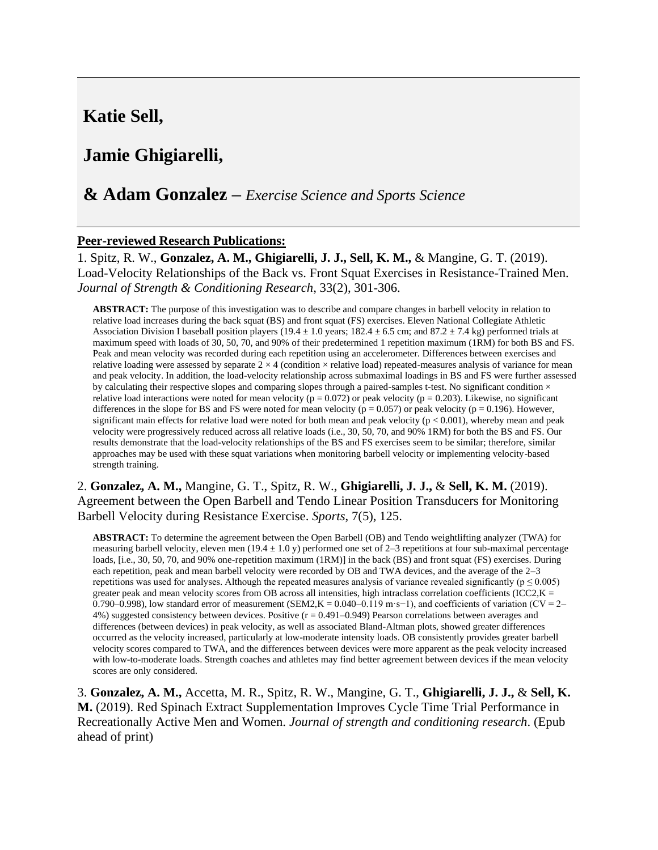# **Katie Sell,**

# **Jamie Ghigiarelli,**

## **& Adam Gonzalez –** *Exercise Science and Sports Science*

#### **Peer-reviewed Research Publications:**

1. Spitz, R. W., **Gonzalez, A. M., Ghigiarelli, J. J., Sell, K. M.,** & Mangine, G. T. (2019). Load-Velocity Relationships of the Back vs. Front Squat Exercises in Resistance-Trained Men. *Journal of Strength & Conditioning Research*, 33(2), 301-306.

**ABSTRACT:** The purpose of this investigation was to describe and compare changes in barbell velocity in relation to relative load increases during the back squat (BS) and front squat (FS) exercises. Eleven National Collegiate Athletic Association Division I baseball position players (19.4  $\pm$  1.0 years; 182.4  $\pm$  6.5 cm; and 87.2  $\pm$  7.4 kg) performed trials at maximum speed with loads of 30, 50, 70, and 90% of their predetermined 1 repetition maximum (1RM) for both BS and FS. Peak and mean velocity was recorded during each repetition using an accelerometer. Differences between exercises and relative loading were assessed by separate  $2 \times 4$  (condition  $\times$  relative load) repeated-measures analysis of variance for mean and peak velocity. In addition, the load-velocity relationship across submaximal loadings in BS and FS were further assessed by calculating their respective slopes and comparing slopes through a paired-samples t-test. No significant condition  $\times$ relative load interactions were noted for mean velocity ( $p = 0.072$ ) or peak velocity ( $p = 0.203$ ). Likewise, no significant differences in the slope for BS and FS were noted for mean velocity ( $p = 0.057$ ) or peak velocity ( $p = 0.196$ ). However, significant main effects for relative load were noted for both mean and peak velocity  $(p < 0.001)$ , whereby mean and peak velocity were progressively reduced across all relative loads (i.e., 30, 50, 70, and 90% 1RM) for both the BS and FS. Our results demonstrate that the load-velocity relationships of the BS and FS exercises seem to be similar; therefore, similar approaches may be used with these squat variations when monitoring barbell velocity or implementing velocity-based strength training.

#### 2. **Gonzalez, A. M.,** Mangine, G. T., Spitz, R. W., **Ghigiarelli, J. J.,** & **Sell, K. M.** (2019). Agreement between the Open Barbell and Tendo Linear Position Transducers for Monitoring Barbell Velocity during Resistance Exercise. *Sports*, 7(5), 125.

**ABSTRACT:** To determine the agreement between the Open Barbell (OB) and Tendo weightlifting analyzer (TWA) for measuring barbell velocity, eleven men  $(19.4 \pm 1.0 \text{ y})$  performed one set of 2–3 repetitions at four sub-maximal percentage loads, [i.e., 30, 50, 70, and 90% one-repetition maximum (1RM)] in the back (BS) and front squat (FS) exercises. During each repetition, peak and mean barbell velocity were recorded by OB and TWA devices, and the average of the 2–3 repetitions was used for analyses. Although the repeated measures analysis of variance revealed significantly ( $p \le 0.005$ ) greater peak and mean velocity scores from OB across all intensities, high intraclass correlation coefficients (ICC2, $K =$ 0.790–0.998), low standard error of measurement (SEM2,K = 0.040–0.119 m·s−1), and coefficients of variation (CV = 2– 4%) suggested consistency between devices. Positive (r = 0.491–0.949) Pearson correlations between averages and differences (between devices) in peak velocity, as well as associated Bland-Altman plots, showed greater differences occurred as the velocity increased, particularly at low-moderate intensity loads. OB consistently provides greater barbell velocity scores compared to TWA, and the differences between devices were more apparent as the peak velocity increased with low-to-moderate loads. Strength coaches and athletes may find better agreement between devices if the mean velocity scores are only considered.

3. **Gonzalez, A. M.,** Accetta, M. R., Spitz, R. W., Mangine, G. T., **Ghigiarelli, J. J.,** & **Sell, K. M.** (2019). Red Spinach Extract Supplementation Improves Cycle Time Trial Performance in Recreationally Active Men and Women. *Journal of strength and conditioning research*. (Epub ahead of print)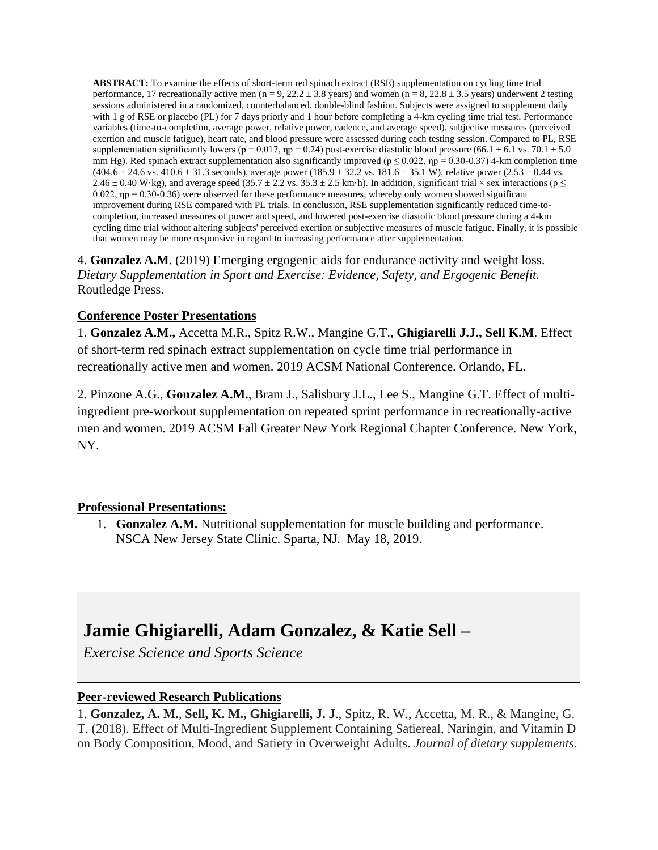**ABSTRACT:** To examine the effects of short-term red spinach extract (RSE) supplementation on cycling time trial performance, 17 recreationally active men (n = 9, 22.2  $\pm$  3.8 years) and women (n = 8, 22.8  $\pm$  3.5 years) underwent 2 testing sessions administered in a randomized, counterbalanced, double-blind fashion. Subjects were assigned to supplement daily with 1 g of RSE or placebo (PL) for 7 days priorly and 1 hour before completing a 4-km cycling time trial test. Performance variables (time-to-completion, average power, relative power, cadence, and average speed), subjective measures (perceived exertion and muscle fatigue), heart rate, and blood pressure were assessed during each testing session. Compared to PL, RSE supplementation significantly lowers (p = 0.017, np = 0.24) post-exercise diastolic blood pressure (66.1  $\pm$  6.1 vs. 70.1  $\pm$  5.0 mm Hg). Red spinach extract supplementation also significantly improved ( $p \le 0.022$ ,  $np = 0.30$ -0.37) 4-km completion time  $(404.6 \pm 24.6 \text{ vs. } 410.6 \pm 31.3 \text{ seconds})$ , average power  $(185.9 \pm 32.2 \text{ vs. } 181.6 \pm 35.1 \text{ W})$ , relative power  $(2.53 \pm 0.44 \text{ vs. } 181.6 \pm 35.1 \text{ W})$ 2.46  $\pm$  0.40 W·kg), and average speed (35.7  $\pm$  2.2 vs. 35.3  $\pm$  2.5 km·h). In addition, significant trial × sex interactions (p  $\leq$ 0.022, ηp = 0.30-0.36) were observed for these performance measures, whereby only women showed significant improvement during RSE compared with PL trials. In conclusion, RSE supplementation significantly reduced time-tocompletion, increased measures of power and speed, and lowered post-exercise diastolic blood pressure during a 4-km cycling time trial without altering subjects' perceived exertion or subjective measures of muscle fatigue. Finally, it is possible that women may be more responsive in regard to increasing performance after supplementation.

4. **Gonzalez A.M**. (2019) Emerging ergogenic aids for endurance activity and weight loss. *Dietary Supplementation in Sport and Exercise: Evidence, Safety, and Ergogenic Benefit.* Routledge Press.

## **Conference Poster Presentations**

1. **Gonzalez A.M.,** Accetta M.R., Spitz R.W., Mangine G.T., **Ghigiarelli J.J., Sell K.M**. Effect of short-term red spinach extract supplementation on cycle time trial performance in recreationally active men and women. 2019 ACSM National Conference. Orlando, FL.

2. Pinzone A.G., **Gonzalez A.M.**, Bram J., Salisbury J.L., Lee S., Mangine G.T. Effect of multiingredient pre-workout supplementation on repeated sprint performance in recreationally-active men and women. 2019 ACSM Fall Greater New York Regional Chapter Conference. New York, NY.

## **Professional Presentations:**

1. **Gonzalez A.M.** Nutritional supplementation for muscle building and performance. NSCA New Jersey State Clinic. Sparta, NJ. May 18, 2019.

# **Jamie Ghigiarelli, Adam Gonzalez, & Katie Sell –**

*Exercise Science and Sports Science*

## **Peer-reviewed Research Publications**

1. **Gonzalez, A. M.**, **Sell, K. M., Ghigiarelli, J. J**., Spitz, R. W., Accetta, M. R., & Mangine, G. T. (2018). Effect of Multi-Ingredient Supplement Containing Satiereal, Naringin, and Vitamin D on Body Composition, Mood, and Satiety in Overweight Adults. *Journal of dietary supplements*.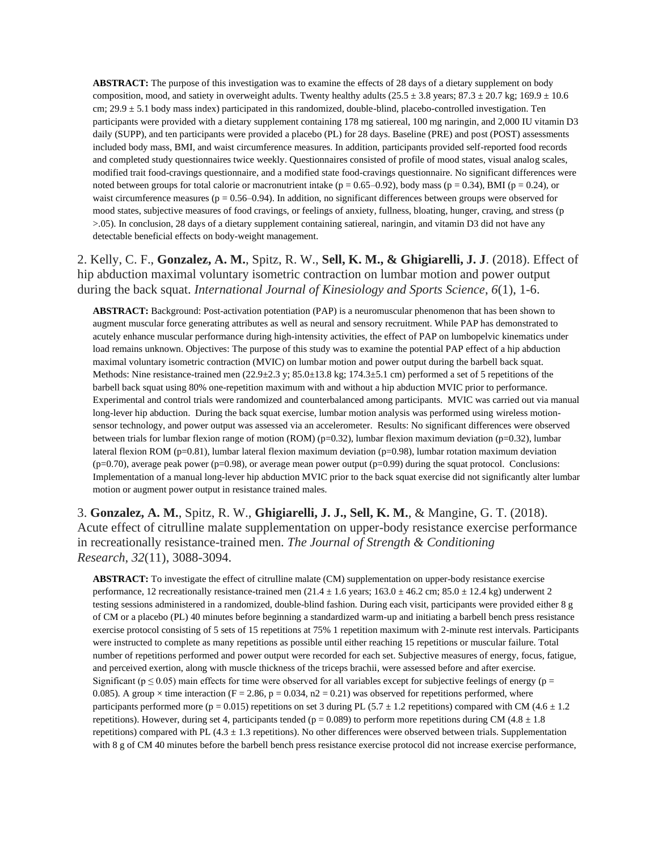**ABSTRACT:** The purpose of this investigation was to examine the effects of 28 days of a dietary supplement on body composition, mood, and satiety in overweight adults. Twenty healthy adults ( $25.5 \pm 3.8$  years;  $87.3 \pm 20.7$  kg;  $169.9 \pm 10.6$ cm;  $29.9 \pm 5.1$  body mass index) participated in this randomized, double-blind, placebo-controlled investigation. Ten participants were provided with a dietary supplement containing 178 mg satiereal, 100 mg naringin, and 2,000 IU vitamin D3 daily (SUPP), and ten participants were provided a placebo (PL) for 28 days. Baseline (PRE) and post (POST) assessments included body mass, BMI, and waist circumference measures. In addition, participants provided self-reported food records and completed study questionnaires twice weekly. Questionnaires consisted of profile of mood states, visual analog scales, modified trait food-cravings questionnaire, and a modified state food-cravings questionnaire. No significant differences were noted between groups for total calorie or macronutrient intake ( $p = 0.65-0.92$ ), body mass ( $p = 0.34$ ), BMI ( $p = 0.24$ ), or waist circumference measures ( $p = 0.56-0.94$ ). In addition, no significant differences between groups were observed for mood states, subjective measures of food cravings, or feelings of anxiety, fullness, bloating, hunger, craving, and stress (p >.05). In conclusion, 28 days of a dietary supplement containing satiereal, naringin, and vitamin D3 did not have any detectable beneficial effects on body-weight management.

2. Kelly, C. F., **Gonzalez, A. M.**, Spitz, R. W., **Sell, K. M., & Ghigiarelli, J. J**. (2018). Effect of hip abduction maximal voluntary isometric contraction on lumbar motion and power output during the back squat. *International Journal of Kinesiology and Sports Science*, *6*(1), 1-6.

**ABSTRACT:** Background: Post-activation potentiation (PAP) is a neuromuscular phenomenon that has been shown to augment muscular force generating attributes as well as neural and sensory recruitment. While PAP has demonstrated to acutely enhance muscular performance during high-intensity activities, the effect of PAP on lumbopelvic kinematics under load remains unknown. Objectives: The purpose of this study was to examine the potential PAP effect of a hip abduction maximal voluntary isometric contraction (MVIC) on lumbar motion and power output during the barbell back squat. Methods: Nine resistance-trained men  $(22.9\pm 2.3 \text{ y}; 85.0\pm 13.8 \text{ kg}; 174.3\pm 5.1 \text{ cm})$  performed a set of 5 repetitions of the barbell back squat using 80% one-repetition maximum with and without a hip abduction MVIC prior to performance. Experimental and control trials were randomized and counterbalanced among participants. MVIC was carried out via manual long-lever hip abduction. During the back squat exercise, lumbar motion analysis was performed using wireless motionsensor technology, and power output was assessed via an accelerometer. Results: No significant differences were observed between trials for lumbar flexion range of motion (ROM) (p=0.32), lumbar flexion maximum deviation (p=0.32), lumbar lateral flexion ROM (p=0.81), lumbar lateral flexion maximum deviation (p=0.98), lumbar rotation maximum deviation  $(p=0.70)$ , average peak power (p=0.98), or average mean power output  $(p=0.99)$  during the squat protocol. Conclusions: Implementation of a manual long-lever hip abduction MVIC prior to the back squat exercise did not significantly alter lumbar motion or augment power output in resistance trained males.

3. **Gonzalez, A. M.**, Spitz, R. W., **Ghigiarelli, J. J., Sell, K. M.**, & Mangine, G. T. (2018). Acute effect of citrulline malate supplementation on upper-body resistance exercise performance in recreationally resistance-trained men. *The Journal of Strength & Conditioning Research*, *32*(11), 3088-3094.

**ABSTRACT:** To investigate the effect of citrulline malate (CM) supplementation on upper-body resistance exercise performance, 12 recreationally resistance-trained men  $(21.4 \pm 1.6$  years;  $163.0 \pm 46.2$  cm;  $85.0 \pm 12.4$  kg) underwent 2 testing sessions administered in a randomized, double-blind fashion. During each visit, participants were provided either 8 g of CM or a placebo (PL) 40 minutes before beginning a standardized warm-up and initiating a barbell bench press resistance exercise protocol consisting of 5 sets of 15 repetitions at 75% 1 repetition maximum with 2-minute rest intervals. Participants were instructed to complete as many repetitions as possible until either reaching 15 repetitions or muscular failure. Total number of repetitions performed and power output were recorded for each set. Subjective measures of energy, focus, fatigue, and perceived exertion, along with muscle thickness of the triceps brachii, were assessed before and after exercise. Significant ( $p \le 0.05$ ) main effects for time were observed for all variables except for subjective feelings of energy ( $p =$ 0.085). A group  $\times$  time interaction (F = 2.86, p = 0.034, n2 = 0.21) was observed for repetitions performed, where participants performed more (p = 0.015) repetitions on set 3 during PL (5.7  $\pm$  1.2 repetitions) compared with CM (4.6  $\pm$  1.2 repetitions). However, during set 4, participants tended ( $p = 0.089$ ) to perform more repetitions during CM (4.8  $\pm$  1.8 repetitions) compared with PL  $(4.3 \pm 1.3$  repetitions). No other differences were observed between trials. Supplementation with 8 g of CM 40 minutes before the barbell bench press resistance exercise protocol did not increase exercise performance,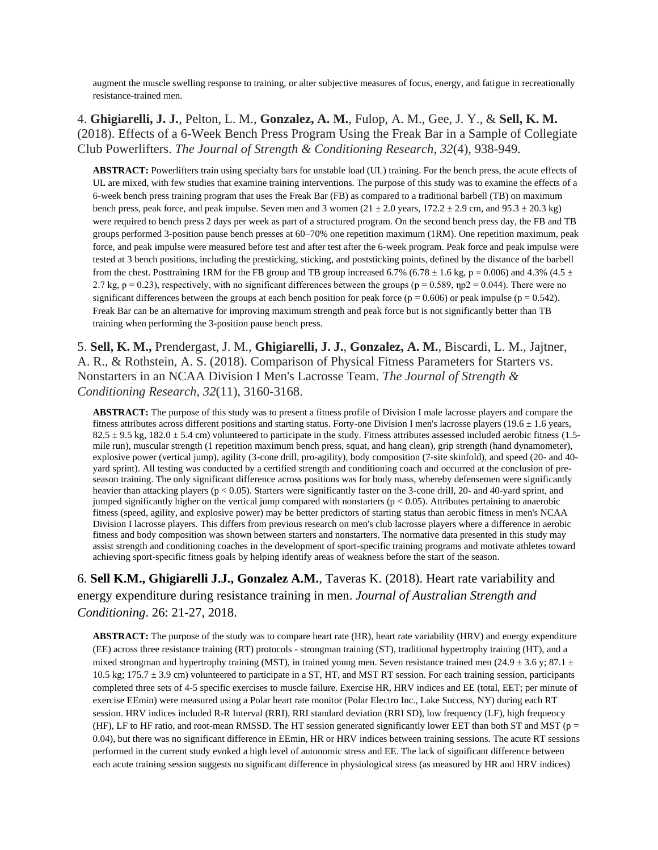augment the muscle swelling response to training, or alter subjective measures of focus, energy, and fatigue in recreationally resistance-trained men.

#### 4. **Ghigiarelli, J. J.**, Pelton, L. M., **Gonzalez, A. M.**, Fulop, A. M., Gee, J. Y., & **Sell, K. M.** (2018). Effects of a 6-Week Bench Press Program Using the Freak Bar in a Sample of Collegiate Club Powerlifters. *The Journal of Strength & Conditioning Research*, *32*(4), 938-949.

**ABSTRACT:** Powerlifters train using specialty bars for unstable load (UL) training. For the bench press, the acute effects of UL are mixed, with few studies that examine training interventions. The purpose of this study was to examine the effects of a 6-week bench press training program that uses the Freak Bar (FB) as compared to a traditional barbell (TB) on maximum bench press, peak force, and peak impulse. Seven men and 3 women  $(21 \pm 2.0$  years,  $172.2 \pm 2.9$  cm, and  $95.3 \pm 20.3$  kg) were required to bench press 2 days per week as part of a structured program. On the second bench press day, the FB and TB groups performed 3-position pause bench presses at 60–70% one repetition maximum (1RM). One repetition maximum, peak force, and peak impulse were measured before test and after test after the 6-week program. Peak force and peak impulse were tested at 3 bench positions, including the presticking, sticking, and poststicking points, defined by the distance of the barbell from the chest. Posttraining 1RM for the FB group and TB group increased 6.7% (6.78  $\pm$  1.6 kg, p = 0.006) and 4.3% (4.5  $\pm$ 2.7 kg, p = 0.23), respectively, with no significant differences between the groups (p = 0.589, np2 = 0.044). There were no significant differences between the groups at each bench position for peak force ( $p = 0.606$ ) or peak impulse ( $p = 0.542$ ). Freak Bar can be an alternative for improving maximum strength and peak force but is not significantly better than TB training when performing the 3-position pause bench press.

5. **Sell, K. M.,** Prendergast, J. M., **Ghigiarelli, J. J.**, **Gonzalez, A. M.**, Biscardi, L. M., Jajtner, A. R., & Rothstein, A. S. (2018). Comparison of Physical Fitness Parameters for Starters vs. Nonstarters in an NCAA Division I Men's Lacrosse Team. *The Journal of Strength & Conditioning Research*, *32*(11), 3160-3168.

**ABSTRACT:** The purpose of this study was to present a fitness profile of Division I male lacrosse players and compare the fitness attributes across different positions and starting status. Forty-one Division I men's lacrosse players (19.6  $\pm$  1.6 years,  $82.5 \pm 9.5$  kg,  $182.0 \pm 5.4$  cm) volunteered to participate in the study. Fitness attributes assessed included aerobic fitness (1.5mile run), muscular strength (1 repetition maximum bench press, squat, and hang clean), grip strength (hand dynamometer), explosive power (vertical jump), agility (3-cone drill, pro-agility), body composition (7-site skinfold), and speed (20- and 40 yard sprint). All testing was conducted by a certified strength and conditioning coach and occurred at the conclusion of preseason training. The only significant difference across positions was for body mass, whereby defensemen were significantly heavier than attacking players (p < 0.05). Starters were significantly faster on the 3-cone drill, 20- and 40-yard sprint, and jumped significantly higher on the vertical jump compared with nonstarters ( $p < 0.05$ ). Attributes pertaining to anaerobic fitness (speed, agility, and explosive power) may be better predictors of starting status than aerobic fitness in men's NCAA Division I lacrosse players. This differs from previous research on men's club lacrosse players where a difference in aerobic fitness and body composition was shown between starters and nonstarters. The normative data presented in this study may assist strength and conditioning coaches in the development of sport-specific training programs and motivate athletes toward achieving sport-specific fitness goals by helping identify areas of weakness before the start of the season.

6. **Sell K.M., Ghigiarelli J.J., Gonzalez A.M.**, Taveras K. (2018). Heart rate variability and energy expenditure during resistance training in men. *Journal of Australian Strength and Conditioning*. 26: 21-27, 2018.

**ABSTRACT:** The purpose of the study was to compare heart rate (HR), heart rate variability (HRV) and energy expenditure (EE) across three resistance training (RT) protocols - strongman training (ST), traditional hypertrophy training (HT), and a mixed strongman and hypertrophy training (MST), in trained young men. Seven resistance trained men (24.9  $\pm$  3.6 y; 87.1  $\pm$ 10.5 kg;  $175.7 \pm 3.9$  cm) volunteered to participate in a ST, HT, and MST RT session. For each training session, participants completed three sets of 4-5 specific exercises to muscle failure. Exercise HR, HRV indices and EE (total, EET; per minute of exercise EEmin) were measured using a Polar heart rate monitor (Polar Electro Inc., Lake Success, NY) during each RT session. HRV indices included R-R Interval (RRI), RRI standard deviation (RRI SD), low frequency (LF), high frequency (HF), LF to HF ratio, and root-mean RMSSD. The HT session generated significantly lower EET than both ST and MST ( $p =$ 0.04), but there was no significant difference in EEmin, HR or HRV indices between training sessions. The acute RT sessions performed in the current study evoked a high level of autonomic stress and EE. The lack of significant difference between each acute training session suggests no significant difference in physiological stress (as measured by HR and HRV indices)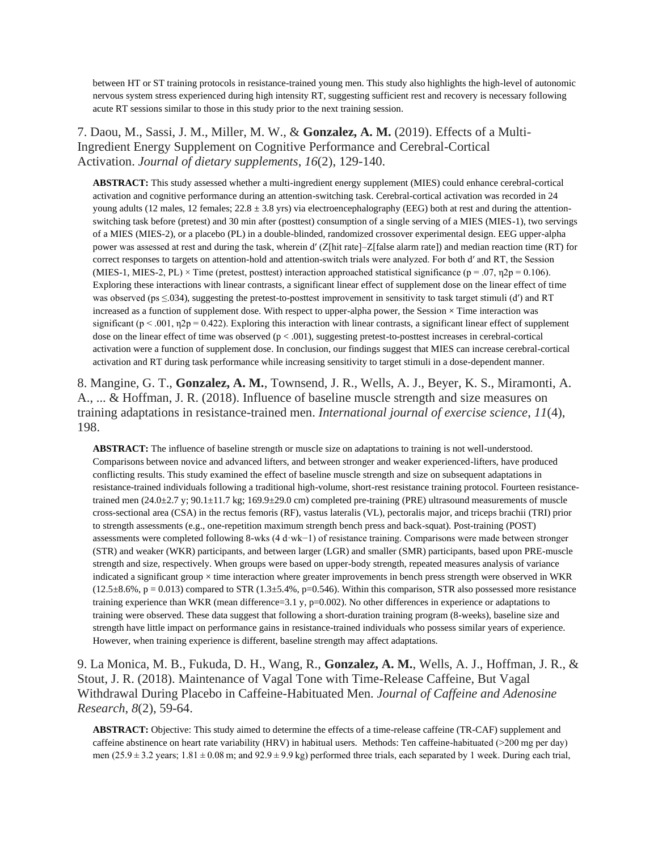between HT or ST training protocols in resistance-trained young men. This study also highlights the high-level of autonomic nervous system stress experienced during high intensity RT, suggesting sufficient rest and recovery is necessary following acute RT sessions similar to those in this study prior to the next training session.

7. Daou, M., Sassi, J. M., Miller, M. W., & **Gonzalez, A. M.** (2019). Effects of a Multi-Ingredient Energy Supplement on Cognitive Performance and Cerebral-Cortical Activation. *Journal of dietary supplements*, *16*(2), 129-140.

**ABSTRACT:** This study assessed whether a multi-ingredient energy supplement (MIES) could enhance cerebral-cortical activation and cognitive performance during an attention-switching task. Cerebral-cortical activation was recorded in 24 young adults (12 males, 12 females;  $22.8 \pm 3.8$  yrs) via electroencephalography (EEG) both at rest and during the attentionswitching task before (pretest) and 30 min after (posttest) consumption of a single serving of a MIES (MIES-1), two servings of a MIES (MIES-2), or a placebo (PL) in a double-blinded, randomized crossover experimental design. EEG upper-alpha power was assessed at rest and during the task, wherein d′ (Z[hit rate]–Z[false alarm rate]) and median reaction time (RT) for correct responses to targets on attention-hold and attention-switch trials were analyzed. For both d′ and RT, the Session (MIES-1, MIES-2, PL)  $\times$  Time (pretest, posttest) interaction approached statistical significance (p = .07,  $\eta$ 2p = 0.106). Exploring these interactions with linear contrasts, a significant linear effect of supplement dose on the linear effect of time was observed (ps  $\leq$ .034), suggesting the pretest-to-posttest improvement in sensitivity to task target stimuli (d') and RT increased as a function of supplement dose. With respect to upper-alpha power, the Session  $\times$  Time interaction was significant ( $p < .001$ ,  $\eta$ 2 $p = 0.422$ ). Exploring this interaction with linear contrasts, a significant linear effect of supplement dose on the linear effect of time was observed  $(p < .001)$ , suggesting pretest-to-posttest increases in cerebral-cortical activation were a function of supplement dose. In conclusion, our findings suggest that MIES can increase cerebral-cortical activation and RT during task performance while increasing sensitivity to target stimuli in a dose-dependent manner.

8. Mangine, G. T., **Gonzalez, A. M.**, Townsend, J. R., Wells, A. J., Beyer, K. S., Miramonti, A. A., ... & Hoffman, J. R. (2018). Influence of baseline muscle strength and size measures on training adaptations in resistance-trained men. *International journal of exercise science*, *11*(4), 198.

**ABSTRACT:** The influence of baseline strength or muscle size on adaptations to training is not well-understood. Comparisons between novice and advanced lifters, and between stronger and weaker experienced-lifters, have produced conflicting results. This study examined the effect of baseline muscle strength and size on subsequent adaptations in resistance-trained individuals following a traditional high-volume, short-rest resistance training protocol. Fourteen resistancetrained men (24.0±2.7 y; 90.1±11.7 kg; 169.9±29.0 cm) completed pre-training (PRE) ultrasound measurements of muscle cross-sectional area (CSA) in the rectus femoris (RF), vastus lateralis (VL), pectoralis major, and triceps brachii (TRI) prior to strength assessments (e.g., one-repetition maximum strength bench press and back-squat). Post-training (POST) assessments were completed following 8-wks (4 d·wk−1) of resistance training. Comparisons were made between stronger (STR) and weaker (WKR) participants, and between larger (LGR) and smaller (SMR) participants, based upon PRE-muscle strength and size, respectively. When groups were based on upper-body strength, repeated measures analysis of variance indicated a significant group  $\times$  time interaction where greater improvements in bench press strength were observed in WKR  $(12.5\pm8.6\% , p = 0.013)$  compared to STR  $(1.3\pm5.4\%, p=0.546)$ . Within this comparison, STR also possessed more resistance training experience than WKR (mean difference=3.1 y, p=0.002). No other differences in experience or adaptations to training were observed. These data suggest that following a short-duration training program (8-weeks), baseline size and strength have little impact on performance gains in resistance-trained individuals who possess similar years of experience. However, when training experience is different, baseline strength may affect adaptations.

9. La Monica, M. B., Fukuda, D. H., Wang, R., **Gonzalez, A. M.**, Wells, A. J., Hoffman, J. R., & Stout, J. R. (2018). Maintenance of Vagal Tone with Time-Release Caffeine, But Vagal Withdrawal During Placebo in Caffeine-Habituated Men. *Journal of Caffeine and Adenosine Research*, *8*(2), 59-64.

**ABSTRACT:** Objective: This study aimed to determine the effects of a time-release caffeine (TR-CAF) supplement and caffeine abstinence on heart rate variability (HRV) in habitual users. Methods: Ten caffeine-habituated (>200 mg per day) men (25.9 ± 3.2 years; 1.81 ± 0.08 m; and  $92.9 \pm 9.9$  kg) performed three trials, each separated by 1 week. During each trial,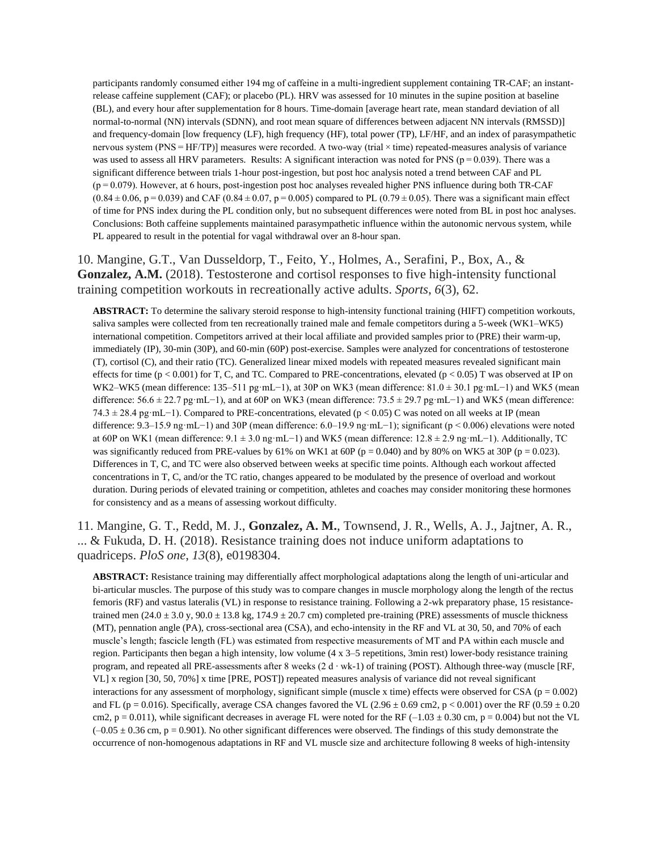participants randomly consumed either 194 mg of caffeine in a multi-ingredient supplement containing TR-CAF; an instantrelease caffeine supplement (CAF); or placebo (PL). HRV was assessed for 10 minutes in the supine position at baseline (BL), and every hour after supplementation for 8 hours. Time-domain [average heart rate, mean standard deviation of all normal-to-normal (NN) intervals (SDNN), and root mean square of differences between adjacent NN intervals (RMSSD)] and frequency-domain [low frequency (LF), high frequency (HF), total power (TP), LF/HF, and an index of parasympathetic nervous system (PNS = HF/TP)] measures were recorded. A two-way (trial  $\times$  time) repeated-measures analysis of variance was used to assess all HRV parameters. Results: A significant interaction was noted for PNS ( $p = 0.039$ ). There was a significant difference between trials 1-hour post-ingestion, but post hoc analysis noted a trend between CAF and PL (p = 0.079). However, at 6 hours, post-ingestion post hoc analyses revealed higher PNS influence during both TR-CAF  $(0.84 \pm 0.06, p = 0.039)$  and CAF  $(0.84 \pm 0.07, p = 0.005)$  compared to PL  $(0.79 \pm 0.05)$ . There was a significant main effect of time for PNS index during the PL condition only, but no subsequent differences were noted from BL in post hoc analyses. Conclusions: Both caffeine supplements maintained parasympathetic influence within the autonomic nervous system, while PL appeared to result in the potential for vagal withdrawal over an 8-hour span.

10. Mangine, G.T., Van Dusseldorp, T., Feito, Y., Holmes, A., Serafini, P., Box, A., & **Gonzalez, A.M.** (2018). Testosterone and cortisol responses to five high-intensity functional training competition workouts in recreationally active adults. *Sports*, *6*(3), 62.

**ABSTRACT:** To determine the salivary steroid response to high-intensity functional training (HIFT) competition workouts, saliva samples were collected from ten recreationally trained male and female competitors during a 5-week (WK1–WK5) international competition. Competitors arrived at their local affiliate and provided samples prior to (PRE) their warm-up, immediately (IP), 30-min (30P), and 60-min (60P) post-exercise. Samples were analyzed for concentrations of testosterone (T), cortisol (C), and their ratio (TC). Generalized linear mixed models with repeated measures revealed significant main effects for time  $(p < 0.001)$  for T, C, and TC. Compared to PRE-concentrations, elevated  $(p < 0.05)$  T was observed at IP on WK2–WK5 (mean difference: 135–511 pg·mL−1), at 30P on WK3 (mean difference: 81.0 ± 30.1 pg·mL−1) and WK5 (mean difference: 56.6 ± 22.7 pg·mL−1), and at 60P on WK3 (mean difference: 73.5 ± 29.7 pg·mL−1) and WK5 (mean difference: 74.3 ± 28.4 pg·mL−1). Compared to PRE-concentrations, elevated (p < 0.05) C was noted on all weeks at IP (mean difference: 9.3–15.9 ng·mL−1) and 30P (mean difference: 6.0–19.9 ng·mL−1); significant (p < 0.006) elevations were noted at 60P on WK1 (mean difference: 9.1 ± 3.0 ng·mL−1) and WK5 (mean difference: 12.8 ± 2.9 ng·mL−1). Additionally, TC was significantly reduced from PRE-values by 61% on WK1 at 60P ( $p = 0.040$ ) and by 80% on WK5 at 30P ( $p = 0.023$ ). Differences in T, C, and TC were also observed between weeks at specific time points. Although each workout affected concentrations in T, C, and/or the TC ratio, changes appeared to be modulated by the presence of overload and workout duration. During periods of elevated training or competition, athletes and coaches may consider monitoring these hormones for consistency and as a means of assessing workout difficulty.

11. Mangine, G. T., Redd, M. J., **Gonzalez, A. M.**, Townsend, J. R., Wells, A. J., Jajtner, A. R., ... & Fukuda, D. H. (2018). Resistance training does not induce uniform adaptations to quadriceps. *PloS one*, *13*(8), e0198304.

**ABSTRACT:** Resistance training may differentially affect morphological adaptations along the length of uni-articular and bi-articular muscles. The purpose of this study was to compare changes in muscle morphology along the length of the rectus femoris (RF) and vastus lateralis (VL) in response to resistance training. Following a 2-wk preparatory phase, 15 resistancetrained men (24.0 ± 3.0 y, 90.0 ± 13.8 kg, 174.9 ± 20.7 cm) completed pre-training (PRE) assessments of muscle thickness (MT), pennation angle (PA), cross-sectional area (CSA), and echo-intensity in the RF and VL at 30, 50, and 70% of each muscle's length; fascicle length (FL) was estimated from respective measurements of MT and PA within each muscle and region. Participants then began a high intensity, low volume (4 x 3–5 repetitions, 3min rest) lower-body resistance training program, and repeated all PRE-assessments after 8 weeks (2 d ∙ wk-1) of training (POST). Although three-way (muscle [RF, VL] x region [30, 50, 70%] x time [PRE, POST]) repeated measures analysis of variance did not reveal significant interactions for any assessment of morphology, significant simple (muscle x time) effects were observed for CSA ( $p = 0.002$ ) and FL (p = 0.016). Specifically, average CSA changes favored the VL (2.96  $\pm$  0.69 cm2, p < 0.001) over the RF (0.59  $\pm$  0.20 cm2,  $p = 0.011$ ), while significant decreases in average FL were noted for the RF (-1.03  $\pm$  0.30 cm, p = 0.004) but not the VL  $(-0.05 \pm 0.36 \text{ cm}, p = 0.901)$ . No other significant differences were observed. The findings of this study demonstrate the occurrence of non-homogenous adaptations in RF and VL muscle size and architecture following 8 weeks of high-intensity